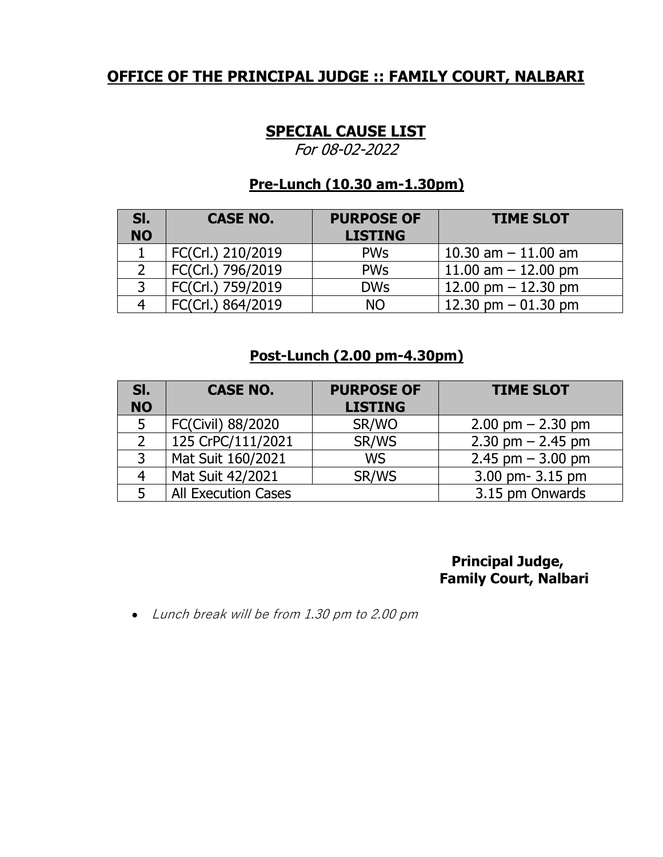# **SPECIAL CAUSE LIST**

For 08-02-2022

# **Pre-Lunch (10.30 am-1.30pm)**

| SI.<br><b>NO</b> | <b>CASE NO.</b>   | <b>PURPOSE OF</b><br><b>LISTING</b> | <b>TIME SLOT</b>      |
|------------------|-------------------|-------------------------------------|-----------------------|
|                  | FC(Crl.) 210/2019 | <b>PWs</b>                          | 10.30 am $-$ 11.00 am |
|                  | FC(Crl.) 796/2019 | <b>PWs</b>                          | 11.00 am $-$ 12.00 pm |
|                  | FC(Crl.) 759/2019 | <b>DWs</b>                          | 12.00 pm $-$ 12.30 pm |
|                  | FC(Crl.) 864/2019 | <b>NO</b>                           | 12.30 pm $-$ 01.30 pm |

## **Post-Lunch (2.00 pm-4.30pm)**

| SI.<br><b>NO</b> | <b>CASE NO.</b>            | <b>PURPOSE OF</b><br><b>LISTING</b> | <b>TIME SLOT</b>      |
|------------------|----------------------------|-------------------------------------|-----------------------|
| 5                | FC(Civil) 88/2020          | SR/WO                               | $2.00$ pm $- 2.30$ pm |
|                  | 125 CrPC/111/2021          | SR/WS                               | $2.30$ pm $- 2.45$ pm |
| 3                | Mat Suit 160/2021          | <b>WS</b>                           | 2.45 pm $-$ 3.00 pm   |
| 4                | Mat Suit 42/2021           | SR/WS                               | 3.00 pm- 3.15 pm      |
|                  | <b>All Execution Cases</b> |                                     | 3.15 pm Onwards       |

 **Principal Judge, Family Court, Nalbari**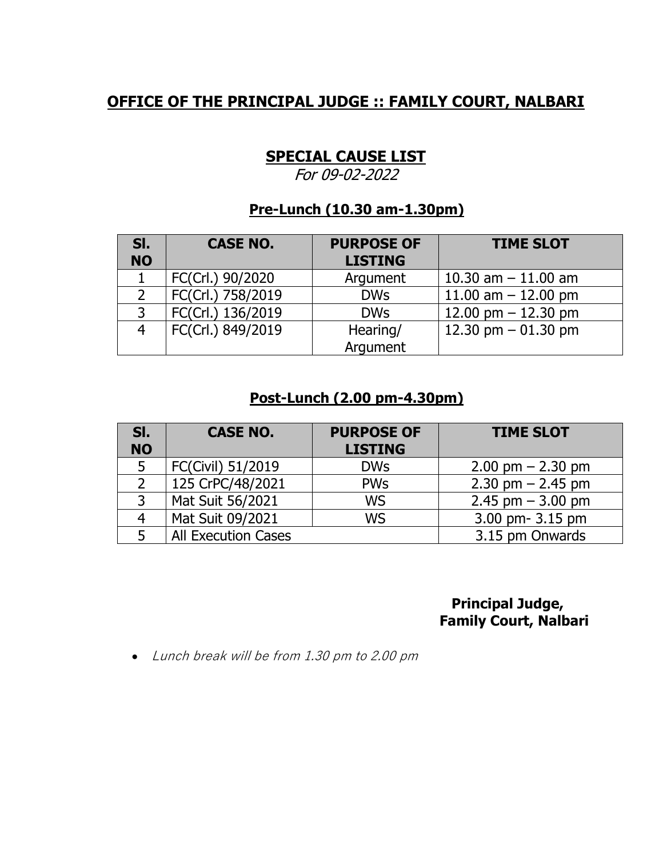# **SPECIAL CAUSE LIST**

For 09-02-2022

## **Pre-Lunch (10.30 am-1.30pm)**

| SI.<br><b>NO</b> | <b>CASE NO.</b>   | <b>PURPOSE OF</b><br><b>LISTING</b> | <b>TIME SLOT</b>      |
|------------------|-------------------|-------------------------------------|-----------------------|
|                  | FC(Crl.) 90/2020  | Argument                            | 10.30 am $-$ 11.00 am |
|                  | FC(Crl.) 758/2019 | <b>DWs</b>                          | 11.00 am $-$ 12.00 pm |
|                  | FC(Crl.) 136/2019 | <b>DWs</b>                          | 12.00 pm $-$ 12.30 pm |
|                  | FC(Crl.) 849/2019 | Hearing/                            | 12.30 pm $-$ 01.30 pm |
|                  |                   | Argument                            |                       |

### **Post-Lunch (2.00 pm-4.30pm)**

| SI.<br><b>NO</b> | <b>CASE NO.</b>            | <b>PURPOSE OF</b><br><b>LISTING</b> | <b>TIME SLOT</b>                    |
|------------------|----------------------------|-------------------------------------|-------------------------------------|
| 5                | FC(Civil) 51/2019          | <b>DWs</b>                          | $2.00 \text{ pm} - 2.30 \text{ pm}$ |
|                  | 125 CrPC/48/2021           | <b>PWs</b>                          | $2.30$ pm $- 2.45$ pm               |
| 3                | Mat Suit 56/2021           | <b>WS</b>                           | 2.45 pm $-$ 3.00 pm                 |
| 4                | Mat Suit 09/2021           | <b>WS</b>                           | 3.00 pm- 3.15 pm                    |
|                  | <b>All Execution Cases</b> |                                     | 3.15 pm Onwards                     |

## **Principal Judge, Family Court, Nalbari**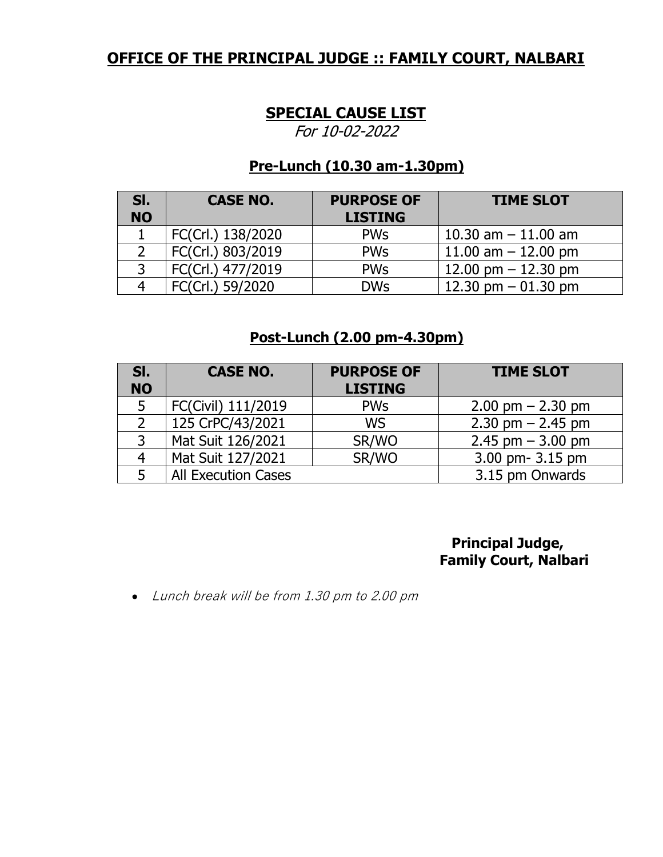#### **SPECIAL CAUSE LIST**

For 10-02-2022

#### **Pre-Lunch (10.30 am-1.30pm)**

| SI.<br><b>NO</b> | <b>CASE NO.</b>   | <b>PURPOSE OF</b><br><b>LISTING</b> | <b>TIME SLOT</b>      |
|------------------|-------------------|-------------------------------------|-----------------------|
|                  | FC(Crl.) 138/2020 | <b>PWs</b>                          | 10.30 am $-$ 11.00 am |
|                  | FC(Crl.) 803/2019 | <b>PWs</b>                          | 11.00 am $-$ 12.00 pm |
|                  | FC(Crl.) 477/2019 | <b>PWs</b>                          | 12.00 pm $-$ 12.30 pm |
|                  | FC(Crl.) 59/2020  | <b>DWs</b>                          | 12.30 pm $-$ 01.30 pm |

# **Post-Lunch (2.00 pm-4.30pm)**

| SI.<br><b>NO</b> | <b>CASE NO.</b>            | <b>PURPOSE OF</b><br><b>LISTING</b> | <b>TIME SLOT</b>                    |
|------------------|----------------------------|-------------------------------------|-------------------------------------|
| 5                | FC(Civil) 111/2019         | <b>PWs</b>                          | $2.00 \text{ pm} - 2.30 \text{ pm}$ |
|                  | 125 CrPC/43/2021           | <b>WS</b>                           | $2.30$ pm $- 2.45$ pm               |
| 3                | Mat Suit 126/2021          | SR/WO                               | $2.45$ pm $-3.00$ pm                |
| 4                | Mat Suit 127/2021          | SR/WO                               | 3.00 pm- 3.15 pm                    |
|                  | <b>All Execution Cases</b> |                                     | 3.15 pm Onwards                     |

 **Principal Judge, Family Court, Nalbari**